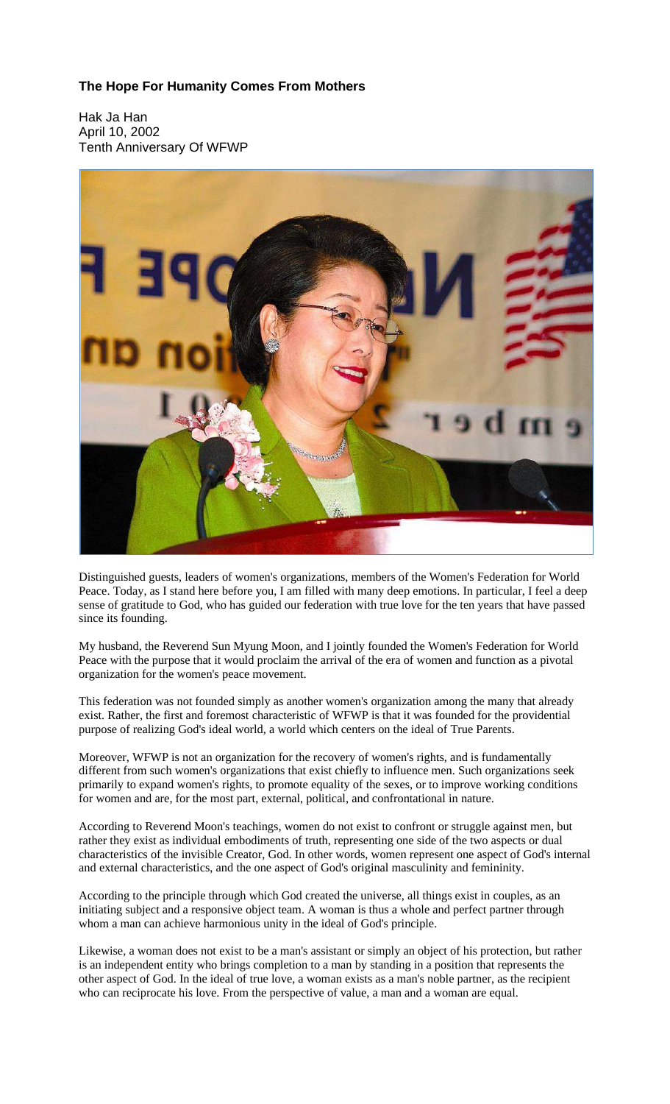## **The Hope For Humanity Comes From Mothers**

Hak Ja Han April 10, 2002 Tenth Anniversary Of WFWP



Distinguished guests, leaders of women's organizations, members of the Women's Federation for World Peace. Today, as I stand here before you, I am filled with many deep emotions. In particular, I feel a deep sense of gratitude to God, who has guided our federation with true love for the ten years that have passed since its founding.

My husband, the Reverend Sun Myung Moon, and I jointly founded the Women's Federation for World Peace with the purpose that it would proclaim the arrival of the era of women and function as a pivotal organization for the women's peace movement.

This federation was not founded simply as another women's organization among the many that already exist. Rather, the first and foremost characteristic of WFWP is that it was founded for the providential purpose of realizing God's ideal world, a world which centers on the ideal of True Parents.

Moreover, WFWP is not an organization for the recovery of women's rights, and is fundamentally different from such women's organizations that exist chiefly to influence men. Such organizations seek primarily to expand women's rights, to promote equality of the sexes, or to improve working conditions for women and are, for the most part, external, political, and confrontational in nature.

According to Reverend Moon's teachings, women do not exist to confront or struggle against men, but rather they exist as individual embodiments of truth, representing one side of the two aspects or dual characteristics of the invisible Creator, God. In other words, women represent one aspect of God's internal and external characteristics, and the one aspect of God's original masculinity and femininity.

According to the principle through which God created the universe, all things exist in couples, as an initiating subject and a responsive object team. A woman is thus a whole and perfect partner through whom a man can achieve harmonious unity in the ideal of God's principle.

Likewise, a woman does not exist to be a man's assistant or simply an object of his protection, but rather is an independent entity who brings completion to a man by standing in a position that represents the other aspect of God. In the ideal of true love, a woman exists as a man's noble partner, as the recipient who can reciprocate his love. From the perspective of value, a man and a woman are equal.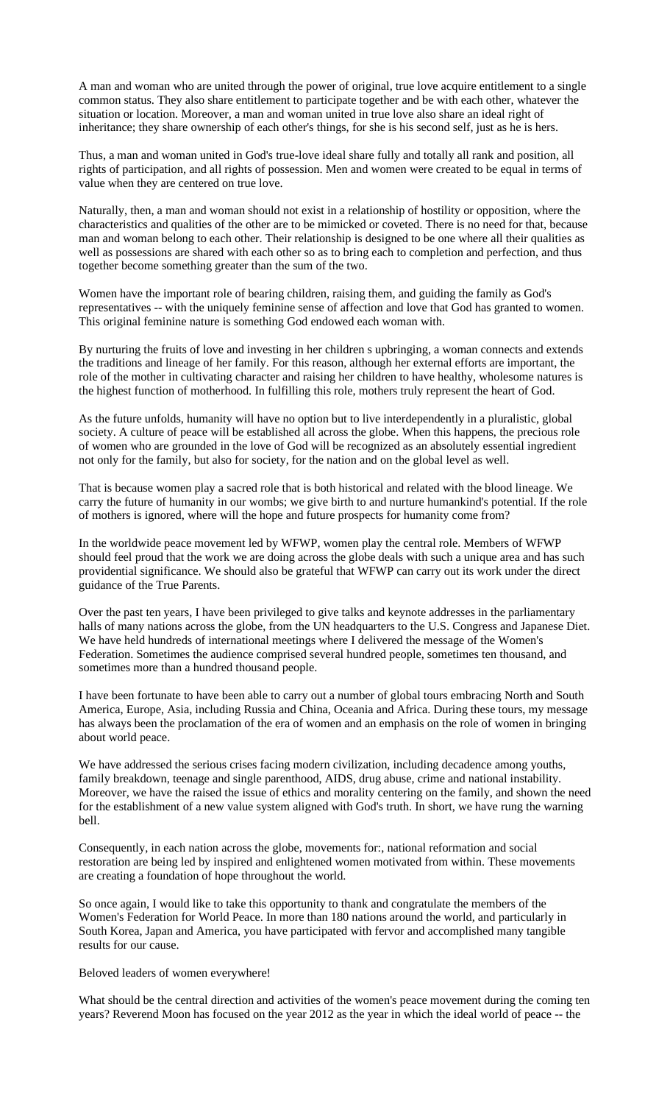A man and woman who are united through the power of original, true love acquire entitlement to a single common status. They also share entitlement to participate together and be with each other, whatever the situation or location. Moreover, a man and woman united in true love also share an ideal right of inheritance; they share ownership of each other's things, for she is his second self, just as he is hers.

Thus, a man and woman united in God's true-love ideal share fully and totally all rank and position, all rights of participation, and all rights of possession. Men and women were created to be equal in terms of value when they are centered on true love.

Naturally, then, a man and woman should not exist in a relationship of hostility or opposition, where the characteristics and qualities of the other are to be mimicked or coveted. There is no need for that, because man and woman belong to each other. Their relationship is designed to be one where all their qualities as well as possessions are shared with each other so as to bring each to completion and perfection, and thus together become something greater than the sum of the two.

Women have the important role of bearing children, raising them, and guiding the family as God's representatives -- with the uniquely feminine sense of affection and love that God has granted to women. This original feminine nature is something God endowed each woman with.

By nurturing the fruits of love and investing in her children s upbringing, a woman connects and extends the traditions and lineage of her family. For this reason, although her external efforts are important, the role of the mother in cultivating character and raising her children to have healthy, wholesome natures is the highest function of motherhood. In fulfilling this role, mothers truly represent the heart of God.

As the future unfolds, humanity will have no option but to live interdependently in a pluralistic, global society. A culture of peace will be established all across the globe. When this happens, the precious role of women who are grounded in the love of God will be recognized as an absolutely essential ingredient not only for the family, but also for society, for the nation and on the global level as well.

That is because women play a sacred role that is both historical and related with the blood lineage. We carry the future of humanity in our wombs; we give birth to and nurture humankind's potential. If the role of mothers is ignored, where will the hope and future prospects for humanity come from?

In the worldwide peace movement led by WFWP, women play the central role. Members of WFWP should feel proud that the work we are doing across the globe deals with such a unique area and has such providential significance. We should also be grateful that WFWP can carry out its work under the direct guidance of the True Parents.

Over the past ten years, I have been privileged to give talks and keynote addresses in the parliamentary halls of many nations across the globe, from the UN headquarters to the U.S. Congress and Japanese Diet. We have held hundreds of international meetings where I delivered the message of the Women's Federation. Sometimes the audience comprised several hundred people, sometimes ten thousand, and sometimes more than a hundred thousand people.

I have been fortunate to have been able to carry out a number of global tours embracing North and South America, Europe, Asia, including Russia and China, Oceania and Africa. During these tours, my message has always been the proclamation of the era of women and an emphasis on the role of women in bringing about world peace.

We have addressed the serious crises facing modern civilization, including decadence among youths, family breakdown, teenage and single parenthood, AIDS, drug abuse, crime and national instability. Moreover, we have the raised the issue of ethics and morality centering on the family, and shown the need for the establishment of a new value system aligned with God's truth. In short, we have rung the warning bell.

Consequently, in each nation across the globe, movements for:, national reformation and social restoration are being led by inspired and enlightened women motivated from within. These movements are creating a foundation of hope throughout the world.

So once again, I would like to take this opportunity to thank and congratulate the members of the Women's Federation for World Peace. In more than 180 nations around the world, and particularly in South Korea, Japan and America, you have participated with fervor and accomplished many tangible results for our cause.

## Beloved leaders of women everywhere!

What should be the central direction and activities of the women's peace movement during the coming ten years? Reverend Moon has focused on the year 2012 as the year in which the ideal world of peace -- the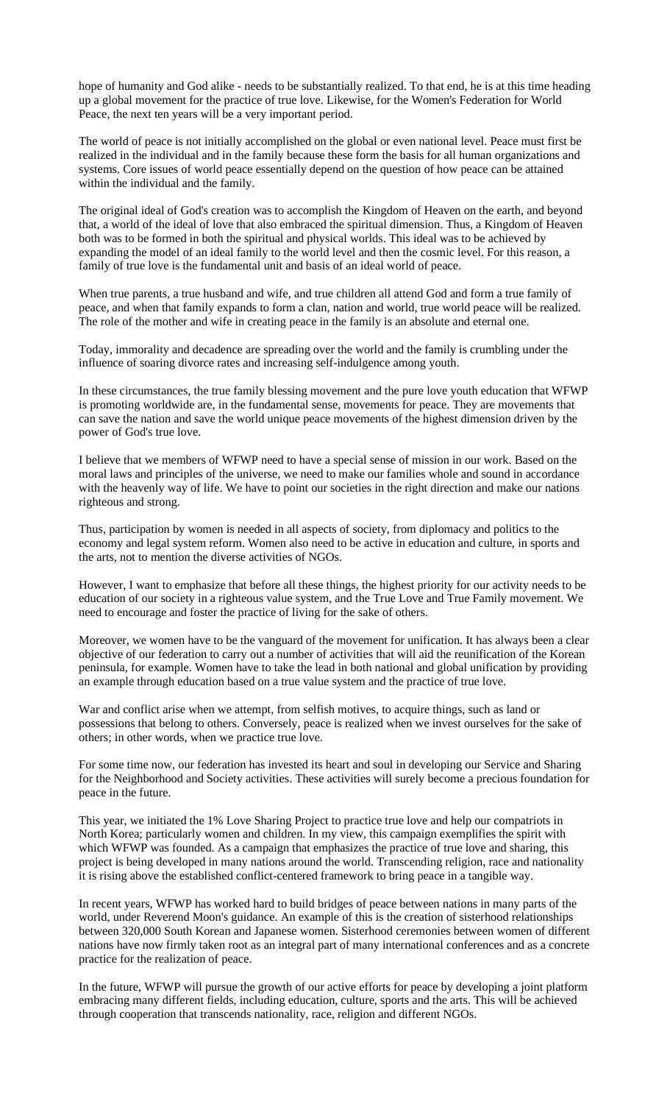hope of humanity and God alike - needs to be substantially realized. To that end, he is at this time heading up a global movement for the practice of true love. Likewise, for the Women's Federation for World Peace, the next ten years will be a very important period.

The world of peace is not initially accomplished on the global or even national level. Peace must first be realized in the individual and in the family because these form the basis for all human organizations and systems. Core issues of world peace essentially depend on the question of how peace can be attained within the individual and the family.

The original ideal of God's creation was to accomplish the Kingdom of Heaven on the earth, and beyond that, a world of the ideal of love that also embraced the spiritual dimension. Thus, a Kingdom of Heaven both was to be formed in both the spiritual and physical worlds. This ideal was to be achieved by expanding the model of an ideal family to the world level and then the cosmic level. For this reason, a family of true love is the fundamental unit and basis of an ideal world of peace.

When true parents, a true husband and wife, and true children all attend God and form a true family of peace, and when that family expands to form a clan, nation and world, true world peace will be realized. The role of the mother and wife in creating peace in the family is an absolute and eternal one.

Today, immorality and decadence are spreading over the world and the family is crumbling under the influence of soaring divorce rates and increasing self-indulgence among youth.

In these circumstances, the true family blessing movement and the pure love youth education that WFWP is promoting worldwide are, in the fundamental sense, movements for peace. They are movements that can save the nation and save the world unique peace movements of the highest dimension driven by the power of God's true love.

I believe that we members of WFWP need to have a special sense of mission in our work. Based on the moral laws and principles of the universe, we need to make our families whole and sound in accordance with the heavenly way of life. We have to point our societies in the right direction and make our nations righteous and strong.

Thus, participation by women is needed in all aspects of society, from diplomacy and politics to the economy and legal system reform. Women also need to be active in education and culture, in sports and the arts, not to mention the diverse activities of NGOs.

However, I want to emphasize that before all these things, the highest priority for our activity needs to be education of our society in a righteous value system, and the True Love and True Family movement. We need to encourage and foster the practice of living for the sake of others.

Moreover, we women have to be the vanguard of the movement for unification. It has always been a clear objective of our federation to carry out a number of activities that will aid the reunification of the Korean peninsula, for example. Women have to take the lead in both national and global unification by providing an example through education based on a true value system and the practice of true love.

War and conflict arise when we attempt, from selfish motives, to acquire things, such as land or possessions that belong to others. Conversely, peace is realized when we invest ourselves for the sake of others; in other words, when we practice true love.

For some time now, our federation has invested its heart and soul in developing our Service and Sharing for the Neighborhood and Society activities. These activities will surely become a precious foundation for peace in the future.

This year, we initiated the 1% Love Sharing Project to practice true love and help our compatriots in North Korea; particularly women and children. In my view, this campaign exemplifies the spirit with which WFWP was founded. As a campaign that emphasizes the practice of true love and sharing, this project is being developed in many nations around the world. Transcending religion, race and nationality it is rising above the established conflict-centered framework to bring peace in a tangible way.

In recent years, WFWP has worked hard to build bridges of peace between nations in many parts of the world, under Reverend Moon's guidance. An example of this is the creation of sisterhood relationships between 320,000 South Korean and Japanese women. Sisterhood ceremonies between women of different nations have now firmly taken root as an integral part of many international conferences and as a concrete practice for the realization of peace.

In the future, WFWP will pursue the growth of our active efforts for peace by developing a joint platform embracing many different fields, including education, culture, sports and the arts. This will be achieved through cooperation that transcends nationality, race, religion and different NGOs.